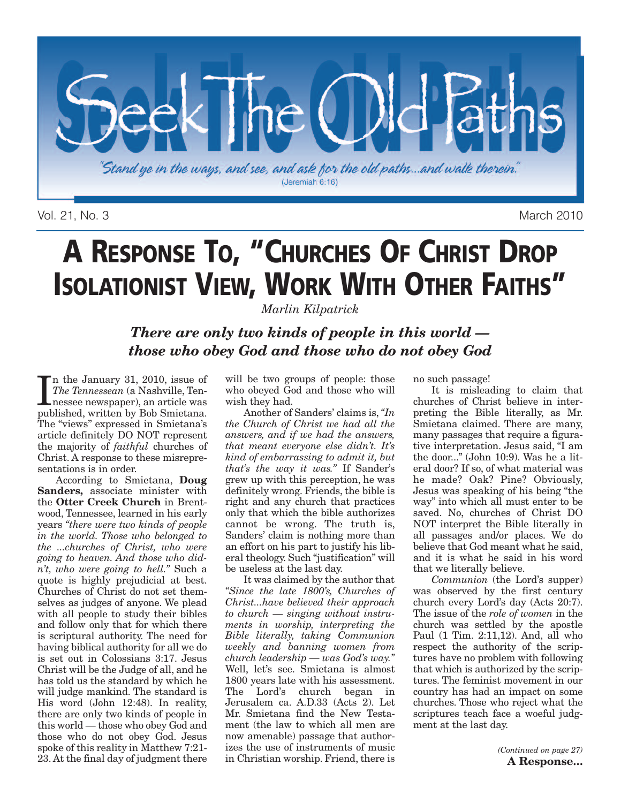

Vol. 21, No. 3 March 2010

# **A RESPONSE TO, "CHURCHES OF CHRIST DROP ISOLATIONIST VIEW, WORK WITH OTHER FAITHS"**

*Marlin Kilpatrick*

*There are only two kinds of people in this world those who obey God and those who do not obey God*

In the January 31, 2010, issue of The Tennessean (a Nashville, Tennessee newspaper), an article was published, written by Bob Smietana. n the January 31, 2010, issue of *The Tennessean* (a Nashville, Tennessee newspaper), an article was The "views" expressed in Smietana's article definitely DO NOT represent the majority of *faithful* churches of Christ. A response to these misrepresentations is in order.

According to Smietana, **Doug Sanders,** associate minister with the **Otter Creek Church** in Brentwood, Tennessee, learned in his early years *"there were two kinds of people in the world. Those who belonged to the ...churches of Christ, who were going to heaven. And those who didn't, who were going to hell."* Such a quote is highly prejudicial at best. Churches of Christ do not set themselves as judges of anyone. We plead with all people to study their bibles and follow only that for which there is scriptural authority. The need for having biblical authority for all we do is set out in Colossians 3:17. Jesus Christ will be the Judge of all, and he has told us the standard by which he will judge mankind. The standard is His word (John 12:48). In reality, there are only two kinds of people in this world — those who obey God and those who do not obey God. Jesus spoke of this reality in Matthew 7:21- 23. At the final day of judgment there

will be two groups of people: those who obeyed God and those who will wish they had.

Another of Sanders' claims is, *"In the Church of Christ we had all the answers, and if we had the answers, that meant everyone else didn't. It's kind of embarrassing to admit it, but that's the way it was."* If Sander's grew up with this perception, he was definitely wrong. Friends, the bible is right and any church that practices only that which the bible authorizes cannot be wrong. The truth is, Sanders' claim is nothing more than an effort on his part to justify his liberal theology. Such "justification" will be useless at the last day.

It was claimed by the author that *"Since the late 1800's, Churches of Christ...have believed their approach to church — singing without instruments in worship, interpreting the Bible literally, taking Communion weekly and banning women from church leadership — was God's way."* Well, let's see. Smietana is almost 1800 years late with his assessment. The Lord's church began in Jerusalem ca. A.D.33 (Acts 2). Let Mr. Smietana find the New Testament (the law to which all men are now amenable) passage that authorizes the use of instruments of music in Christian worship. Friend, there is

no such passage!

It is misleading to claim that churches of Christ believe in interpreting the Bible literally, as Mr. Smietana claimed. There are many, many passages that require a figurative interpretation. Jesus said, "I am the door..." (John 10:9). Was he a literal door? If so, of what material was he made? Oak? Pine? Obviously, Jesus was speaking of his being "the way" into which all must enter to be saved. No, churches of Christ DO NOT interpret the Bible literally in all passages and/or places. We do believe that God meant what he said, and it is what he said in his word that we literally believe.

*Communion* (the Lord's supper) was observed by the first century church every Lord's day (Acts 20:7). The issue of the *role of women* in the church was settled by the apostle Paul (1 Tim. 2:11,12). And, all who respect the authority of the scriptures have no problem with following that which is authorized by the scriptures. The feminist movement in our country has had an impact on some churches. Those who reject what the scriptures teach face a woeful judgment at the last day.

> *(Continued on page 27)* **A Response…**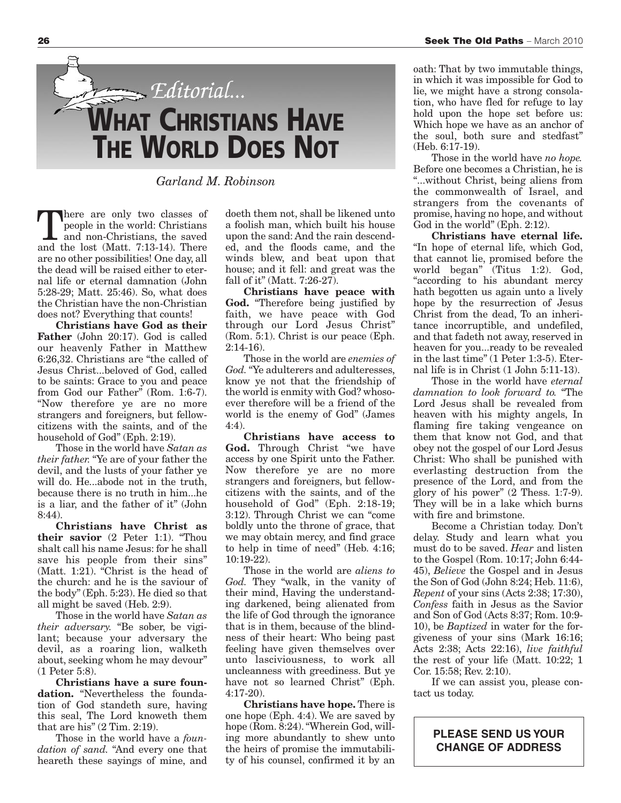

*Garland M. Robinson*

here are only two classes of people in the world: Christians and non-Christians, the saved and the lost (Matt. 7:13-14). There are no other possibilities! One day, all the dead will be raised either to eternal life or eternal damnation (John 5:28-29; Matt. 25:46). So, what does the Christian have the non-Christian does not? Everything that counts!

**Christians have God as their Father** (John 20:17). God is called our heavenly Father in Matthew 6:26,32. Christians are "the called of Jesus Christ...beloved of God, called to be saints: Grace to you and peace from God our Father" (Rom. 1:6-7). "Now therefore ye are no more strangers and foreigners, but fellowcitizens with the saints, and of the household of God" (Eph. 2:19).

Those in the world have *Satan as their father.* "Ye are of your father the devil, and the lusts of your father ye will do. He...abode not in the truth. because there is no truth in him...he is a liar, and the father of it" (John 8:44).

**Christians have Christ as their savior** (2 Peter 1:1). "Thou shalt call his name Jesus: for he shall save his people from their sins" (Matt. 1:21). "Christ is the head of the church: and he is the saviour of the body" (Eph. 5:23). He died so that all might be saved (Heb. 2:9).

Those in the world have *Satan as their adversary.* "Be sober, be vigilant; because your adversary the devil, as a roaring lion, walketh about, seeking whom he may devour" (1 Peter 5:8).

**Christians have a sure foundation.** "Nevertheless the foundation of God standeth sure, having this seal, The Lord knoweth them that are his" (2 Tim. 2:19).

Those in the world have a *foundation of sand.* "And every one that heareth these sayings of mine, and doeth them not, shall be likened unto a foolish man, which built his house upon the sand: And the rain descended, and the floods came, and the winds blew, and beat upon that house; and it fell: and great was the fall of it" (Matt. 7:26-27).

**Christians have peace with God.** "Therefore being justified by faith, we have peace with God through our Lord Jesus Christ" (Rom. 5:1). Christ is our peace (Eph. 2:14-16).

Those in the world are *enemies of God.*"Ye adulterers and adulteresses, know ye not that the friendship of the world is enmity with God? whosoever therefore will be a friend of the world is the enemy of God" (James 4:4).

**Christians have access to God.** Through Christ "we have access by one Spirit unto the Father. Now therefore ye are no more strangers and foreigners, but fellowcitizens with the saints, and of the household of God" (Eph. 2:18-19; 3:12). Through Christ we can "come boldly unto the throne of grace, that we may obtain mercy, and find grace to help in time of need" (Heb. 4:16; 10:19-22).

Those in the world are *aliens to God.* They "walk, in the vanity of their mind, Having the understanding darkened, being alienated from the life of God through the ignorance that is in them, because of the blindness of their heart: Who being past feeling have given themselves over unto lasciviousness, to work all uncleanness with greediness. But ye have not so learned Christ" (Eph. 4:17-20).

**Christians have hope.** There is one hope (Eph. 4:4). We are saved by hope (Rom. 8:24). "Wherein God, willing more abundantly to shew unto the heirs of promise the immutability of his counsel, confirmed it by an

oath: That by two immutable things, in which it was impossible for God to lie, we might have a strong consolation, who have fled for refuge to lay hold upon the hope set before us: Which hope we have as an anchor of the soul, both sure and stedfast" (Heb. 6:17-19).

Those in the world have *no hope.* Before one becomes a Christian, he is ...without Christ, being aliens from the commonwealth of Israel, and strangers from the covenants of promise, having no hope, and without God in the world" (Eph. 2:12).

**Christians have eternal life.** "In hope of eternal life, which God, that cannot lie, promised before the world began" (Titus 1:2). God, "according to his abundant mercy hath begotten us again unto a lively hope by the resurrection of Jesus Christ from the dead, To an inheritance incorruptible, and undefiled, and that fadeth not away, reserved in heaven for you...ready to be revealed in the last time" (1 Peter 1:3-5). Eternal life is in Christ (1 John 5:11-13).

Those in the world have *eternal damnation to look forward to.* "The Lord Jesus shall be revealed from heaven with his mighty angels, In flaming fire taking vengeance on them that know not God, and that obey not the gospel of our Lord Jesus Christ: Who shall be punished with everlasting destruction from the presence of the Lord, and from the glory of his power" (2 Thess. 1:7-9). They will be in a lake which burns with fire and brimstone.

Become a Christian today. Don't delay. Study and learn what you must do to be saved. *Hear* and listen to the Gospel (Rom. 10:17; John 6:44- 45), *Believe* the Gospel and in Jesus the Son of God (John 8:24; Heb. 11:6), *Repent* of your sins (Acts 2:38; 17:30), *Confess* faith in Jesus as the Savior and Son of God (Acts 8:37; Rom. 10:9- 10), be *Baptized* in water for the forgiveness of your sins (Mark 16:16; Acts 2:38; Acts 22:16), *live faithful* the rest of your life (Matt. 10:22; 1 Cor. 15:58; Rev. 2:10).

If we can assist you, please contact us today.

**PLEASE SEND US YOUR CHANGE OF ADDRESS**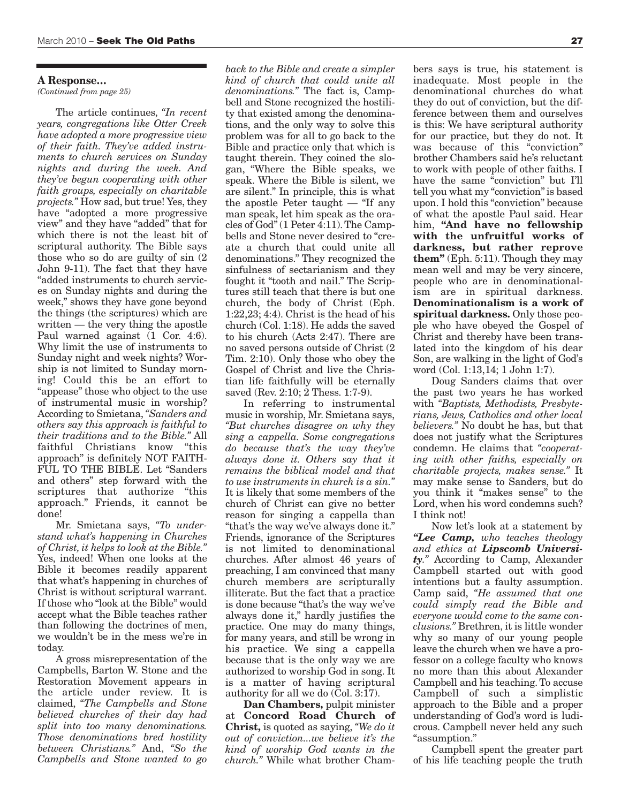#### **A Response…**

*(Continued from page 25)*

The article continues, *"In recent years, congregations like Otter Creek have adopted a more progressive view of their faith. They've added instruments to church services on Sunday nights and during the week. And they've begun cooperating with other faith groups, especially on charitable projects."* How sad, but true! Yes, they have "adopted a more progressive view" and they have "added" that for which there is not the least bit of scriptural authority. The Bible says those who so do are guilty of sin (2 John 9-11). The fact that they have "added instruments to church services on Sunday nights and during the week," shows they have gone beyond the things (the scriptures) which are written — the very thing the apostle Paul warned against (1 Cor. 4:6). Why limit the use of instruments to Sunday night and week nights? Worship is not limited to Sunday morning! Could this be an effort to "appease" those who object to the use of instrumental music in worship? According to Smietana,*"Sanders and others say this approach is faithful to their traditions and to the Bible."* All faithful Christians know "this approach" is definitely NOT FAITH-FUL TO THE BIBLE. Let "Sanders and others" step forward with the scriptures that authorize "this approach." Friends, it cannot be done!

Mr. Smietana says, *"To understand what's happening in Churches of Christ, it helps to look at the Bible."* Yes, indeed! When one looks at the Bible it becomes readily apparent that what's happening in churches of Christ is without scriptural warrant. If those who "look at the Bible" would accept what the Bible teaches rather than following the doctrines of men, we wouldn't be in the mess we're in today.

A gross misrepresentation of the Campbells, Barton W. Stone and the Restoration Movement appears in the article under review. It is claimed, *"The Campbells and Stone believed churches of their day had split into too many denominations. Those denominations bred hostility between Christians."* And, *"So the Campbells and Stone wanted to go* *back to the Bible and create a simpler kind of church that could unite all denominations."* The fact is, Campbell and Stone recognized the hostility that existed among the denominations, and the only way to solve this problem was for all to go back to the Bible and practice only that which is taught therein. They coined the slogan, "Where the Bible speaks, we speak. Where the Bible is silent, we are silent." In principle, this is what the apostle Peter taught — "If any man speak, let him speak as the oracles of God"(1 Peter 4:11).The Campbells and Stone never desired to "create a church that could unite all denominations." They recognized the sinfulness of sectarianism and they fought it "tooth and nail." The Scriptures still teach that there is but one church, the body of Christ (Eph. 1:22,23; 4:4). Christ is the head of his church (Col. 1:18). He adds the saved to his church (Acts 2:47). There are no saved persons outside of Christ (2 Tim. 2:10). Only those who obey the Gospel of Christ and live the Christian life faithfully will be eternally saved (Rev. 2:10; 2 Thess. 1:7-9).

In referring to instrumental music in worship, Mr. Smietana says, *"But churches disagree on why they sing a cappella. Some congregations do because that's the way they've always done it. Others say that it remains the biblical model and that to use instruments in church is a sin."* It is likely that some members of the church of Christ can give no better reason for singing a cappella than "that's the way we've always done it." Friends, ignorance of the Scriptures is not limited to denominational churches. After almost 46 years of preaching, I am convinced that many church members are scripturally illiterate. But the fact that a practice is done because "that's the way we've always done it," hardly justifies the practice. One may do many things, for many years, and still be wrong in his practice. We sing a cappella because that is the only way we are authorized to worship God in song. It is a matter of having scriptural authority for all we do (Col. 3:17).

**Dan Chambers,** pulpit minister at **Concord Road Church of Christ,** is quoted as saying, *"We do it out of conviction...we believe it's the kind of worship God wants in the church."* While what brother Cham-

bers says is true, his statement is inadequate. Most people in the denominational churches do what they do out of conviction, but the difference between them and ourselves is this: We have scriptural authority for our practice, but they do not. It was because of this "conviction" brother Chambers said he's reluctant to work with people of other faiths. I have the same "conviction" but I'll tell you what my "conviction"is based upon. I hold this "conviction" because of what the apostle Paul said. Hear him, **"And have no fellowship with the unfruitful works of darkness, but rather reprove them"** (Eph. 5:11). Though they may mean well and may be very sincere, people who are in denominationalism are in spiritual darkness. **Denominationalism is a work of spiritual darkness.** Only those people who have obeyed the Gospel of Christ and thereby have been translated into the kingdom of his dear Son, are walking in the light of God's word (Col. 1:13,14; 1 John 1:7).

Doug Sanders claims that over the past two years he has worked with *"Baptists, Methodists, Presbyterians, Jews, Catholics and other local believers."* No doubt he has, but that does not justify what the Scriptures condemn. He claims that *"cooperating with other faiths, especially on charitable projects, makes sense."* It may make sense to Sanders, but do you think it "makes sense" to the Lord, when his word condemns such? I think not!

Now let's look at a statement by *"Lee Camp, who teaches theology and ethics at Lipscomb University."* According to Camp, Alexander Campbell started out with good intentions but a faulty assumption. Camp said, *"He assumed that one could simply read the Bible and everyone would come to the same conclusions."* Brethren, it is little wonder why so many of our young people leave the church when we have a professor on a college faculty who knows no more than this about Alexander Campbell and his teaching.To accuse Campbell of such a simplistic approach to the Bible and a proper understanding of God's word is ludicrous. Campbell never held any such "assumption."

Campbell spent the greater part of his life teaching people the truth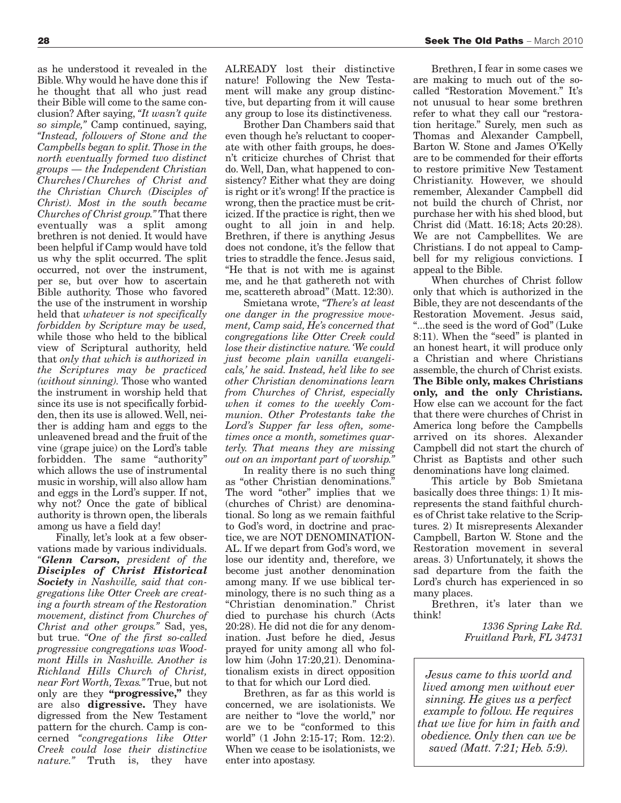as he understood it revealed in the Bible.Why would he have done this if he thought that all who just read their Bible will come to the same conclusion? After saying, *"It wasn't quite so simple,"* Camp continued, saying, *"Instead, followers of Stone and the Campbells began to split.Those in the north eventually formed two distinct groups — the Independent Christian Churches/Churches of Christ and the Christian Church (Disciples of Christ). Most in the south became Churches of Christ group."* That there eventually was <sup>a</sup> split among brethren is not denied. It would have been helpful if Camp would have told us why the split occurred. The split occurred, not over the instrument, per se, but over how to ascertain Bible authority. Those who favored the use of the instrument in worship held that *whatever is not specifically forbidden by Scripture may be used,* while those who held to the biblical view of Scriptural authority, held that *only that which is authorized in the Scriptures may be practiced (without sinning).* Those who wanted the instrument in worship held that since its use is not specifically forbidden, then its use is allowed. Well, neither is adding ham and eggs to the unleavened bread and the fruit of the vine (grape juice) on the Lord's table forbidden. The same "authority" which allows the use of instrumental music in worship, will also allow ham and eggs in the Lord's supper. If not, why not? Once the gate of biblical authority is thrown open, the liberals among us have <sup>a</sup> field day!

Finally, let's look at <sup>a</sup> few observations made by various individuals. *"Glenn Carson, president of the Disciples of Christ Historical Society in Nashville, said that congregations like Otter Creek are creating <sup>a</sup> fourth stream of the Restoration movement, distinct from Churches of Christ and other groups."* Sad, yes, but true. *"One of the first so-called progressive congregations was Woodmont Hills in Nashville. Another is Richland Hills Church of Christ, near Fort Worth,Texas."* True, but not only are they **"progressive,"** they are also **digressive.** They have digressed from the New Testament pattern for the church. Camp is concerned *"congregations like Otter Creek could lose their distinctive nature."* Truth is, they have

ALREADY lost their distinctive nature! Following the New Testament will make any group distinctive, but departing from it will cause any group to lose its distinctiveness.

Brother Dan Chambers said that even though he's reluctant to cooperate with other faith groups, he does<sup>n</sup>'t criticize churches of Christ that do. Well, Dan, what happened to consistency? Either what they are doing is right or it's wrong! If the practice is wrong, then the practice must be criticized. If the practice is right, then we ought to all join in and help. Brethren, if there is anything Jesus does not condone, it's the fellow that tries to straddle the fence. Jesus said, "He that is not with me is against me, and he that gathereth not with me, scattereth abroad" (Matt. 12:30).

Smietana wrote, *"There's at least one danger in the progressive movement, Camp said, He's concerned that congregations like Otter Creek could lose their distinctive nature. 'We could just become plain vanilla evangelicals,' he said. Instead, he'd like to see other Christian denominations learn from Churches of Christ, especially when it comes to the weekly Communion. Other Protestants take the Lord's Supper far less often, sometimes once <sup>a</sup> month, sometimes quarterly. That means they are missing out on an important part of worship.* 

In reality there is no such thing as "other Christian denominations." The word "other" implies that we (churches of Christ) are denominational. So long as we remain faithful to God's word, in doctrine and practice, we are NOT DENOMINATION-AL. If we depart from God's word, we lose our identity and, therefore, we become just another denomination among many. If we use biblical terminology, there is no such thing as <sup>a</sup> "Christian denomination." Christ died to purchase his church (Acts 20:28). He did not die for any denomination. Just before he died, Jesus prayed for unity among all who follow him (John 17:20,21). Denominationalism exists in direct opposition to that for which our Lord died.

Brethren, as far as this world is concerned, we are isolationists. We are neither to "love the world," nor are we to be "conformed to this world" (1 John 2:15-17; Rom. 12:2). When we cease to be isolationists, we enter into apostasy.

Brethren, I fear in some cases we are making to much out of the socalled "Restoration Movement." It's not unusual to hear some brethren refer to what they call our "restoration heritage." Surely, men such as Thomas and Alexander Campbell, Barton W. Stone and James O'Kelly are to be commended for their efforts to restore primitive New Testament Christianity. However, we should remember, Alexander Campbell did not build the church of Christ, nor purchase her with his shed blood, but Christ did (Matt. 16:18; Acts 20:28). We are not Campbellites. We are Christians. I do not appeal to Campbell for my religious convictions. I appeal to the Bible.

When churches of Christ follow only that which is authorized in the Bible, they are not descendants of the Restoration Movement. Jesus said, "...the seed is the word of God" (Luke 8:11). When the "seed" is planted in an honest heart, it will produce only <sup>a</sup> Christian and where Christians assemble, the church of Christ exists. **The Bible only, makes Christians only, and the only Christians.** How else can we account for the fact that there were churches of Christ in America long before the Campbells arrived on its shores. Alexander Campbell did not start the church of Christ as Baptists and other such denominations have long claimed.

This article by Bob Smietana basically does three things: 1) It misrepresents the stand faithful churches of Christ take relative to the Scriptures. 2) It misrepresents Alexander Campbell, Barton W. Stone and the Restoration movement in several areas. 3) Unfortunately, it shows the sad departure from the faith the Lord's church has experienced in so many places.

Brethren, it's later than we think!

> *1336 Spring Lake Rd. Fruitland Park, FL 34731*

*Jesus came to this world and lived among men without ever sinning. He gives us a perfect example to follow. He requires that we live for him in faith and obedience. Only then can we be saved (Matt. 7:21; Heb. 5:9).*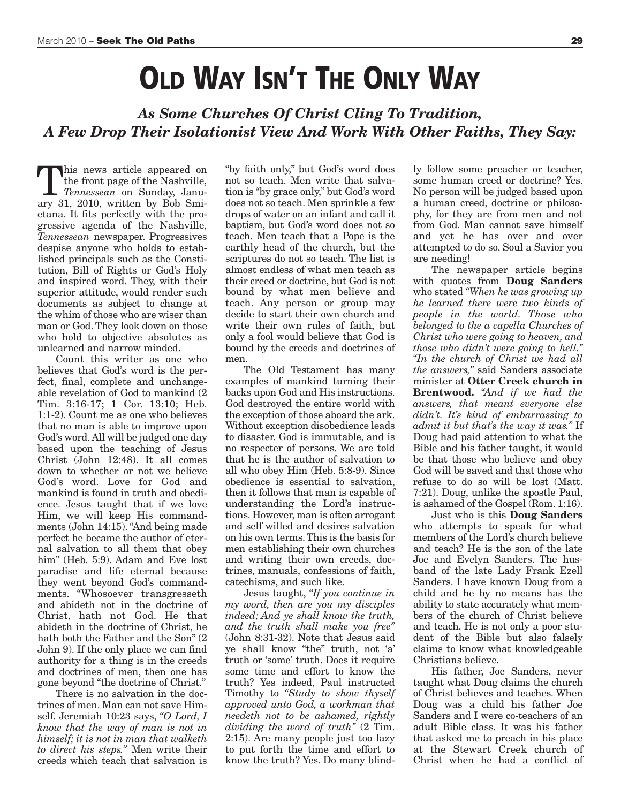## **OLD WAY ISN'T THE ONLY WAY**

*As Some Churches Of Christ Cling To Tradition, A Few Drop Their Isolationist View And Work With Other Faiths, They Say:*

his news article appeared on the front page of the Nashville, *Tennessean* on Sunday, January 31, 2010, written by Bob Smietana. It fits perfectly with the progressive agenda of the Nashville, *Tennessean* newspaper. Progressives despise anyone who holds to established principals such as the Constitution, Bill of Rights or God's Holy and inspired word. They, with their superior attitude, would render such documents as subject to change at the whim of those who are wiser than man or God.They look down on those who hold to objective absolutes as unlearned and narrow minded.

Count this writer as one who believes that God's word is the perfect, final, complete and unchangeable revelation of God to mankind (2 Tim. 3:16-17; 1 Cor. 13:10; Heb. 1:1-2). Count me as one who believes that no man is able to improve upon God's word.All will be judged one day based upon the teaching of Jesus Christ (John 12:48). It all comes down to whether or not we believe God's word. Love for God and mankind is found in truth and obedience. Jesus taught that if we love Him, we will keep His commandments (John 14:15)."And being made perfect he became the author of eternal salvation to all them that obey him" (Heb. 5:9). Adam and Eve lost paradise and life eternal because they went beyond God's commandments. "Whosoever transgresseth and abideth not in the doctrine of Christ, hath not God. He that abideth in the doctrine of Christ, he hath both the Father and the Son" (2 John 9). If the only place we can find authority for a thing is in the creeds and doctrines of men, then one has gone beyond "the doctrine of Christ."

There is no salvation in the doctrines of men. Man can not save Himself. Jeremiah 10:23 says, *"O Lord, I know that the way of man is not in himself; it is not in man that walketh to direct his steps."* Men write their creeds which teach that salvation is "by faith only," but God's word does not so teach. Men write that salvation is "by grace only," but God's word does not so teach. Men sprinkle a few drops of water on an infant and call it baptism, but God's word does not so teach. Men teach that a Pope is the earthly head of the church, but the scriptures do not so teach. The list is almost endless of what men teach as their creed or doctrine, but God is not bound by what men believe and teach. Any person or group may decide to start their own church and write their own rules of faith, but only a fool would believe that God is bound by the creeds and doctrines of men.

The Old Testament has many examples of mankind turning their backs upon God and His instructions. God destroyed the entire world with the exception of those aboard the ark. Without exception disobedience leads to disaster. God is immutable, and is no respecter of persons. We are told that he is the author of salvation to all who obey Him (Heb. 5:8-9). Since obedience is essential to salvation, then it follows that man is capable of understanding the Lord's instructions. However, man is often arrogant and self willed and desires salvation on his own terms.This is the basis for men establishing their own churches and writing their own creeds, doctrines, manuals, confessions of faith, catechisms, and such like.

Jesus taught, *"If you continue in my word, then are you my disciples indeed; And ye shall know the truth, and the truth shall make you free"* (John 8:31-32). Note that Jesus said ye shall know "the" truth, not 'a' truth or 'some' truth. Does it require some time and effort to know the truth? Yes indeed, Paul instructed Timothy to *"Study to show thyself approved unto God, a workman that needeth not to be ashamed, rightly dividing the word of truth"* (2 Tim. 2:15). Are many people just too lazy to put forth the time and effort to know the truth? Yes. Do many blindly follow some preacher or teacher, some human creed or doctrine? Yes. No person will be judged based upon a human creed, doctrine or philosophy, for they are from men and not from God. Man cannot save himself and yet he has over and over attempted to do so. Soul a Savior you are needing!

The newspaper article begins with quotes from **Doug Sanders** who stated *"When he was growing up he learned there were two kinds of people in the world. Those who belonged to the a capella Churches of Christ who were going to heaven, and those who didn't were going to hell." "In the church of Christ we had all the answers,"* said Sanders associate minister at **Otter Creek church in Brentwood.** *"And if we had the answers, that meant everyone else didn't. It's kind of embarrassing to admit it but that's the way it was."* If Doug had paid attention to what the Bible and his father taught, it would be that those who believe and obey God will be saved and that those who refuse to do so will be lost (Matt. 7:21). Doug, unlike the apostle Paul, is ashamed of the Gospel (Rom. 1:16).

Just who is this **Doug Sanders** who attempts to speak for what members of the Lord's church believe and teach? He is the son of the late Joe and Evelyn Sanders. The husband of the late Lady Frank Ezell Sanders. I have known Doug from a child and he by no means has the ability to state accurately what members of the church of Christ believe and teach. He is not only a poor student of the Bible but also falsely claims to know what knowledgeable Christians believe.

His father, Joe Sanders, never taught what Doug claims the church of Christ believes and teaches. When Doug was a child his father Joe Sanders and I were co-teachers of an adult Bible class. It was his father that asked me to preach in his place at the Stewart Creek church of Christ when he had a conflict of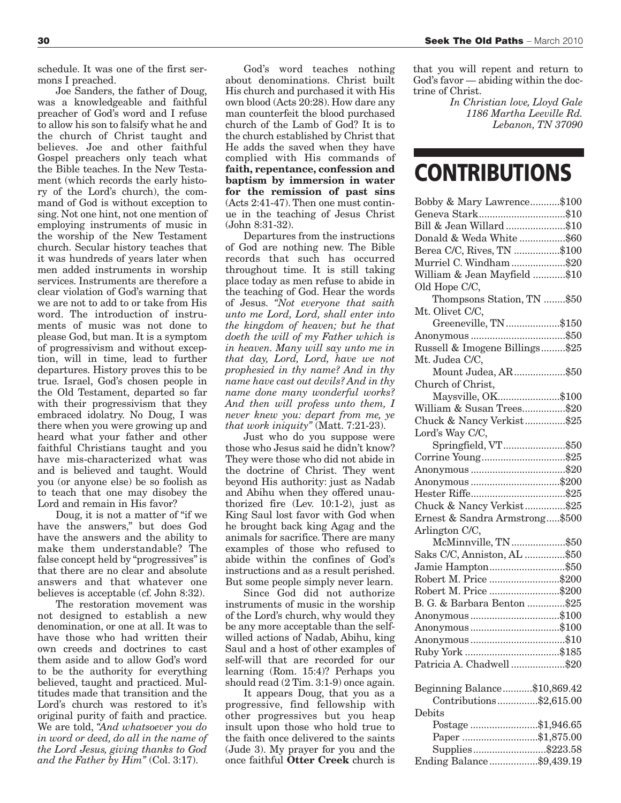schedule. It was one of the first sermons I preached.

Joe Sanders, the father of Doug, was a knowledgeable and faithful preacher of God's word and I refuse to allow his son to falsify what he and the church of Christ taught and believes. Joe and other faithful Gospel preachers only teach what the Bible teaches. In the New Testament (which records the early history of the Lord's church), the command of God is without exception to sing. Not one hint, not one mention of employing instruments of music in the worship of the New Testament church. Secular history teaches that it was hundreds of years later when men added instruments in worship services. Instruments are therefore a clear violation of God's warning that we are not to add to or take from His word. The introduction of instruments of music was not done to please God, but man. It is a symptom of progressivism and without exception, will in time, lead to further departures. History proves this to be true. Israel, God's chosen people in the Old Testament, departed so far with their progressivism that they embraced idolatry. No Doug, I was there when you were growing up and heard what your father and other faithful Christians taught and you have mis-characterized what was and is believed and taught. Would you (or anyone else) be so foolish as to teach that one may disobey the Lord and remain in His favor?

Doug, it is not a matter of "if we have the answers," but does God have the answers and the ability to make them understandable? The false concept held by "progressives"is that there are no clear and absolute answers and that whatever one believes is acceptable (cf. John 8:32).

The restoration movement was not designed to establish a new denomination, or one at all. It was to have those who had written their own creeds and doctrines to cast them aside and to allow God's word to be the authority for everything believed, taught and practiced. Multitudes made that transition and the Lord's church was restored to it's original purity of faith and practice. We are told, *"And whatsoever you do in word or deed, do all in the name of the Lord Jesus, giving thanks to God and the Father by Him"* (Col. 3:17).

God's word teaches nothing about denominations. Christ built His church and purchased it with His own blood (Acts 20:28). How dare any man counterfeit the blood purchased church of the Lamb of God? It is to the church established by Christ that He adds the saved when they have complied with His commands of **faith, repentance, confession and baptism by immersion in water for the remission of past sins**  $(Acts 2:41-47)$ . Then one must continue in the teaching of Jesus Christ (John 8:31-32).

Departures from the instructions of God are nothing new. The Bible records that such has occurred throughout time. It is still taking place today as men refuse to abide in the teaching of God. Hear the words of Jesus. *"Not everyone that saith unto me Lord, Lord, shall enter into the kingdom of heaven; but he that doeth the will of my Father which is in heaven. Many will say unto me in that day, Lord, Lord, have we not prophesied in thy name? And in thy name have cast out devils? And in thy name done many wonderful works? And then will profess unto them, I never knew you: depart from me, ye that work iniquity"* (Matt. 7:21-23).

Just who do you suppose were those who Jesus said he didn't know? They were those who did not abide in the doctrine of Christ. They went beyond His authority: just as Nadab and Abihu when they offered unauthorized fire (Lev. 10:1-2), just as King Saul lost favor with God when he brought back king Agag and the animals for sacrifice. There are many examples of those who refused to abide within the confines of God's instructions and as a result perished. But some people simply never learn.

Since God did not authorize instruments of music in the worship of the Lord's church, why would they be any more acceptable than the selfwilled actions of Nadab, Abihu, king Saul and a host of other examples of self-will that are recorded for our learning (Rom. 15:4)? Perhaps you should read (2 Tim. 3:1-9) once again.

It appears Doug, that you as a progressive, find fellowship with other progressives but you heap insult upon those who hold true to the faith once delivered to the saints (Jude 3). My prayer for you and the once faithful **Otter Creek** church is

that you will repent and return to God's favor — abiding within the doctrine of Christ.

> *In Christian love, Lloyd Gale 1186 Martha Leeville Rd. Lebanon, TN 37090*

### **CONTRIBUTIONS**

| Bobby & Mary Lawrence\$100                   |  |
|----------------------------------------------|--|
| Geneva Stark\$10                             |  |
| Bill & Jean Willard \$10                     |  |
| Donald & Weda White \$60                     |  |
| Berea C/C, Rives, TN \$100                   |  |
| Murriel C. Windham \$20                      |  |
| William & Jean Mayfield \$10                 |  |
| Old Hope C/C,                                |  |
| Thompsons Station, TN \$50                   |  |
| Mt. Olivet C/C,                              |  |
| Greeneville, TN\$150                         |  |
|                                              |  |
| Russell & Imogene Billings \$25              |  |
| Mt. Judea C/C,                               |  |
| Mount Judea, AR\$50                          |  |
| Church of Christ,                            |  |
| Maysville, OK\$100                           |  |
| William & Susan Trees\$20                    |  |
| Chuck & Nancy Verkist\$25                    |  |
| Lord's Way C/C,                              |  |
| Springfield, VT\$50                          |  |
| Corrine Young\$25                            |  |
|                                              |  |
| Anonymous \$200                              |  |
|                                              |  |
| Chuck & Nancy Verkist\$25                    |  |
| Ernest & Sandra Armstrong\$500               |  |
| Arlington C/C,                               |  |
| McMinnville, TN\$50                          |  |
| Saks C/C, Anniston, AL \$50                  |  |
| Jamie Hampton\$50                            |  |
| Robert M. Price \$200                        |  |
| Robert M. Price \$200                        |  |
| B. G. & Barbara Benton \$25                  |  |
| Anonymous\$100                               |  |
|                                              |  |
|                                              |  |
|                                              |  |
| Patricia A. Chadwell\$20                     |  |
|                                              |  |
| Beginning Balance\$10,869.42                 |  |
| Contributions\$2,615.00                      |  |
| Debits                                       |  |
|                                              |  |
| Postage \$1,946.65                           |  |
| Paper \$1,875.00                             |  |
| Supplies\$223.58<br>Ending Balance\$9,439.19 |  |
|                                              |  |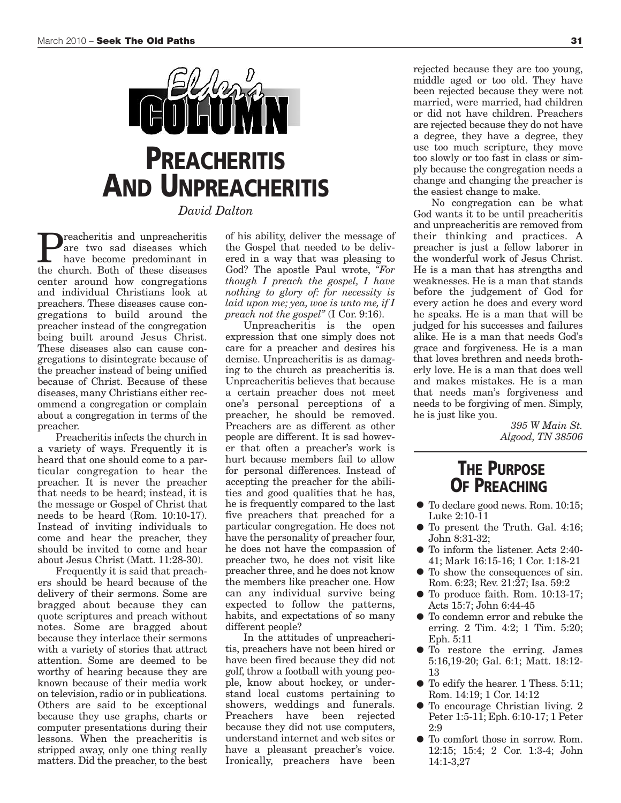

**Preacheritis and unpreacheritis**<br>are two sad diseases which<br>have become predominant in<br>the church Both of these diseases are two sad diseases which the church. Both of these diseases center around how congregations and individual Christians look at preachers. These diseases cause congregations to build around the preacher instead of the congregation being built around Jesus Christ. These diseases also can cause congregations to disintegrate because of the preacher instead of being unified because of Christ. Because of these diseases, many Christians either recommend a congregation or complain about a congregation in terms of the preacher.

Preacheritis infects the church in a variety of ways. Frequently it is heard that one should come to a particular congregation to hear the preacher. It is never the preacher that needs to be heard; instead, it is the message or Gospel of Christ that needs to be heard (Rom. 10:10-17). Instead of inviting individuals to come and hear the preacher, they should be invited to come and hear about Jesus Christ (Matt. 11:28-30).

Frequently it is said that preachers should be heard because of the delivery of their sermons. Some are bragged about because they can quote scriptures and preach without notes. Some are bragged about because they interlace their sermons with a variety of stories that attract attention. Some are deemed to be worthy of hearing because they are known because of their media work on television, radio or in publications. Others are said to be exceptional because they use graphs, charts or computer presentations during their lessons. When the preacheritis is stripped away, only one thing really matters. Did the preacher, to the best

of his ability, deliver the message of the Gospel that needed to be delivered in a way that was pleasing to God? The apostle Paul wrote, *"For though I preach the gospel, I have nothing to glory of: for necessity is laid upon me; yea, woe is unto me, if I preach not the gospel"* (I Cor. 9:16).

Unpreacheritis is the open expression that one simply does not care for a preacher and desires his demise. Unpreacheritis is as damaging to the church as preacheritis is. Unpreacheritis believes that because a certain preacher does not meet one's personal perceptions of a preacher, he should be removed. Preachers are as different as other people are different. It is sad however that often a preacher's work is hurt because members fail to allow for personal differences. Instead of accepting the preacher for the abilities and good qualities that he has, he is frequently compared to the last five preachers that preached for a particular congregation. He does not have the personality of preacher four, he does not have the compassion of preacher two, he does not visit like preacher three, and he does not know the members like preacher one. How can any individual survive being expected to follow the patterns, habits, and expectations of so many different people?

In the attitudes of unpreacheritis, preachers have not been hired or have been fired because they did not golf, throw a football with young people, know about hockey, or understand local customs pertaining to showers, weddings and funerals. Preachers have been rejected because they did not use computers, understand internet and web sites or have a pleasant preacher's voice. Ironically, preachers have been

rejected because they are too young, middle aged or too old. They have been rejected because they were not married, were married, had children or did not have children. Preachers are rejected because they do not have a degree, they have a degree, they use too much scripture, they move too slowly or too fast in class or simply because the congregation needs a change and changing the preacher is the easiest change to make.

No congregation can be what God wants it to be until preacheritis and unpreacheritis are removed from their thinking and practices. A preacher is just a fellow laborer in the wonderful work of Jesus Christ. He is a man that has strengths and weaknesses. He is a man that stands before the judgement of God for every action he does and every word he speaks. He is a man that will be judged for his successes and failures alike. He is a man that needs God's grace and forgiveness. He is a man that loves brethren and needs brotherly love. He is a man that does well and makes mistakes. He is a man that needs man's forgiveness and needs to be forgiving of men. Simply, he is just like you.

> *395 W Main St. Algood, TN 38506*

#### **THE PURPOSE OF PREACHING**

- To declare good news. Rom. 10:15; Luke 2:10-11
- To present the Truth. Gal. 4:16; John 8:31-32;
- To inform the listener. Acts 2:40- 41; Mark 16:15-16; 1 Cor. 1:18-21
- To show the consequences of sin. Rom. 6:23; Rev. 21:27; Isa. 59:2
- To produce faith. Rom. 10:13-17; Acts 15:7; John 6:44-45
- To condemn error and rebuke the erring. 2 Tim. 4:2; 1 Tim. 5:20; Eph. 5:11
- To restore the erring. James 5:16,19-20; Gal. 6:1; Matt. 18:12- 13
- To edify the hearer. <sup>1</sup> Thess. 5:11; Rom. 14:19; 1 Cor. 14:12
- To encourage Christian living. 2 Peter 1:5-11; Eph. 6:10-17; 1 Peter  $2.9$
- To comfort those in sorrow. Rom. 12:15; 15:4; 2 Cor. 1:3-4; John 14:1-3,27